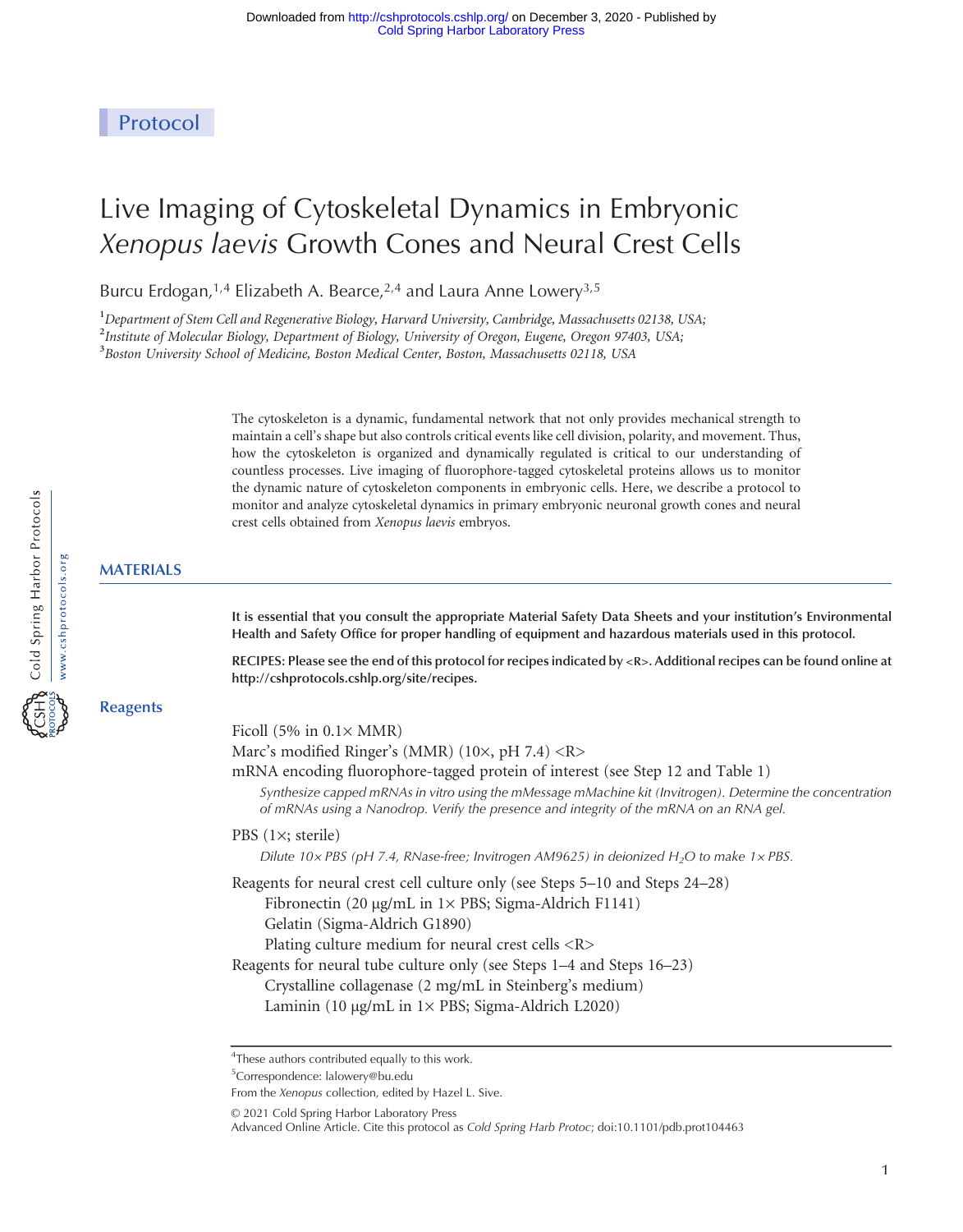# Protocol

# Live Imaging of Cytoskeletal Dynamics in Embryonic Xenopus laevis Growth Cones and Neural Crest Cells

Burcu Erdogan,<sup>1,4</sup> Elizabeth A. Bearce,<sup>2,4</sup> and Laura Anne Lowery<sup>3,5</sup>

<sup>1</sup>Department of Stem Cell and Regenerative Biology, Harvard University, Cambridge, Massachusetts 02138, USA;

2 Institute of Molecular Biology, Department of Biology, University of Oregon, Eugene, Oregon 97403, USA;

<sup>3</sup> Boston University School of Medicine, Boston Medical Center, Boston, Massachusetts 02118, USA

The cytoskeleton is a dynamic, fundamental network that not only provides mechanical strength to maintain a cell's shape but also controls critical events like cell division, polarity, and movement. Thus, how the cytoskeleton is organized and dynamically regulated is critical to our understanding of countless processes. Live imaging of fluorophore-tagged cytoskeletal proteins allows us to monitor the dynamic nature of cytoskeleton components in embryonic cells. Here, we describe a protocol to monitor and analyze cytoskeletal dynamics in primary embryonic neuronal growth cones and neural crest cells obtained from Xenopus laevis embryos.

## MATERIALS

[It is essential that you consult the appropriate Material Safety Data Sheets and your institution](http://www.cshprotocols.org/cautions)'s Environmental Health and Safety Offi[ce for proper handling of equipment and hazardous materials used in this protocol.](http://www.cshprotocols.org/cautions)

RECIPES: Please see the end of this protocol for recipes indicated by <R>. Additional recipes can be found online at http://cshprotocols.cshlp.org/site/recipes.

## **Reagents**

## Ficoll (5% in  $0.1 \times$  MMR)

Marc's modified Ringer's (MMR) (10×, pH 7.4) <R>

mRNA encoding fluorophore-tagged protein of interest (see Step 12 and Table 1)

Synthesize capped mRNAs in vitro using the mMessage mMachine kit (Invitrogen). Determine the concentration of mRNAs using a Nanodrop. Verify the presence and integrity of the mRNA on an RNA gel.

## PBS (1×; sterile)

Dilute 10 $\times$  PBS (pH 7.4, RNase-free; Invitrogen AM9625) in deionized H<sub>2</sub>O to make 1 $\times$  PBS.

Reagents for neural crest cell culture only (see Steps 5–10 and Steps 24–28) Fibronectin (20  $\mu$ g/mL in 1× PBS; Sigma-Aldrich F1141)

Gelatin (Sigma-Aldrich G1890)

Plating culture medium for neural crest cells <R>

Reagents for neural tube culture only (see Steps 1–4 and Steps 16–23)

Crystalline collagenase (2 mg/mL in Steinberg's medium)

Laminin (10 µg/mL in 1× PBS; Sigma-Aldrich L2020)

[© 2021 Cold Spring Harbor Laboratory Press](http://cshprotocols.cshlp.org/site/misc/terms.xhtml)

<sup>&</sup>lt;sup>4</sup>These authors contributed equally to this work.

<sup>5</sup> Correspondence: [lalowery@bu.edu](mailto:lalowery@bu.edu)

From the Xenopus collection, edited by Hazel L. Sive.

Advanced Online Article. Cite this protocol as Cold Spring Harb Protoc; doi:10.1101/pdb.prot104463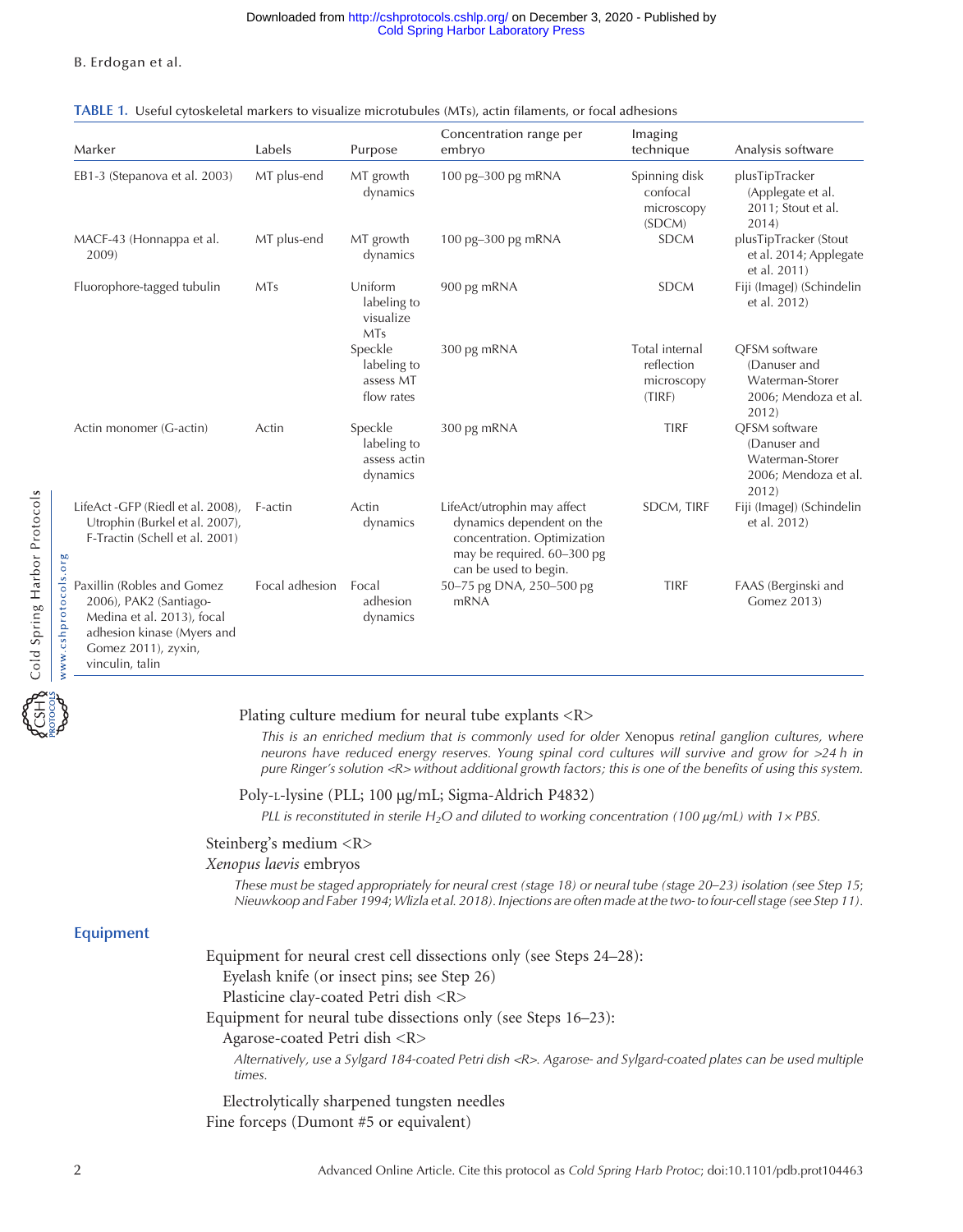#### [Cold Spring Harbor Laboratory Press](http://www.cshlpress.com) Downloaded from<http://cshprotocols.cshlp.org/>on December 3, 2020 - Published by

B. Erdogan et al.

| Marker                                                                                                                                  | Labels         | Purpose                                            | Concentration range per<br>embryo                                                                                                              | Imaging<br>technique                                 | Analysis software                                                                 |
|-----------------------------------------------------------------------------------------------------------------------------------------|----------------|----------------------------------------------------|------------------------------------------------------------------------------------------------------------------------------------------------|------------------------------------------------------|-----------------------------------------------------------------------------------|
| EB1-3 (Stepanova et al. 2003)                                                                                                           | MT plus-end    | MT growth<br>dynamics                              | 100 pg-300 pg mRNA                                                                                                                             | Spinning disk<br>confocal<br>microscopy<br>(SDCM)    | plusTipTracker<br>(Applegate et al.<br>2011; Stout et al.<br>2014)                |
| MACF-43 (Honnappa et al.<br>2009)                                                                                                       | MT plus-end    | MT growth<br>dynamics                              | 100 pg-300 pg mRNA                                                                                                                             | <b>SDCM</b>                                          | plusTipTracker (Stout<br>et al. 2014; Applegate<br>et al. 2011)                   |
| Fluorophore-tagged tubulin                                                                                                              | <b>MTs</b>     | Uniform<br>labeling to<br>visualize<br><b>MTs</b>  | 900 pg mRNA                                                                                                                                    | <b>SDCM</b>                                          | Fiji (ImageJ) (Schindelin<br>et al. 2012)                                         |
|                                                                                                                                         |                | Speckle<br>labeling to<br>assess MT<br>flow rates  | 300 pg mRNA                                                                                                                                    | Total internal<br>reflection<br>microscopy<br>(TIRF) | QFSM software<br>(Danuser and<br>Waterman-Storer<br>2006; Mendoza et al.<br>2012) |
| Actin monomer (G-actin)                                                                                                                 | Actin          | Speckle<br>labeling to<br>assess actin<br>dynamics | 300 pg mRNA                                                                                                                                    | <b>TIRF</b>                                          | OFSM software<br>(Danuser and<br>Waterman-Storer<br>2006; Mendoza et al.<br>2012) |
| LifeAct -GFP (Riedl et al. 2008),<br>Utrophin (Burkel et al. 2007),<br>F-Tractin (Schell et al. 2001)                                   | F-actin        | Actin<br>dynamics                                  | LifeAct/utrophin may affect<br>dynamics dependent on the<br>concentration. Optimization<br>may be required. 60-300 pg<br>can be used to begin. | SDCM, TIRF                                           | Fiji (ImageJ) (Schindelin<br>et al. 2012)                                         |
| Paxillin (Robles and Gomez<br>2006), PAK2 (Santiago-<br>Medina et al. 2013), focal<br>adhesion kinase (Myers and<br>Gomez 2011), zyxin, | Focal adhesion | Focal<br>adhesion<br>dynamics                      | 50-75 pg DNA, 250-500 pg<br>mRNA                                                                                                               | <b>TIRF</b>                                          | FAAS (Berginski and<br>Gomez 2013)                                                |

|  | TABLE 1. Useful cytoskeletal markers to visualize microtubules (MTs), actin filaments, or focal adhesions |  |  |  |  |  |  |  |  |
|--|-----------------------------------------------------------------------------------------------------------|--|--|--|--|--|--|--|--|
|--|-----------------------------------------------------------------------------------------------------------|--|--|--|--|--|--|--|--|



## Plating culture medium for neural tube explants <R>

This is an enriched medium that is commonly used for older Xenopus retinal ganglion cultures, where neurons have reduced energy reserves. Young spinal cord cultures will survive and grow for <sup>&</sup>gt;24 h in pure Ringer's solution <sup>&</sup>lt;R<sup>&</sup>gt; without additional growth factors; this is one of the benefits of using this system.

Poly-L-lysine (PLL; 100 µg/mL; Sigma-Aldrich P4832)

PLL is reconstituted in sterile H<sub>2</sub>O and diluted to working concentration (100  $\mu$ g/mL) with 1× PBS.

## Steinberg's medium <R>

## Xenopus laevis embryos

These must be staged appropriately for neural crest (stage 18) or neural tube (stage 20–23) isolation (see Step 15; Nieuwkoop and Faber 1994; Wlizla et al. 2018). Injections are often made atthe two- to four-cell stage (see Step 11).

## Equipment

vinculin, talin

Equipment for neural crest cell dissections only (see Steps 24–28):

Eyelash knife (or insect pins; see Step 26)

Plasticine clay-coated Petri dish <R>

## Equipment for neural tube dissections only (see Steps 16–23):

## Agarose-coated Petri dish <R>

Alternatively, use a Sylgard 184-coated Petri dish <sup>&</sup>lt;R>. Agarose- and Sylgard-coated plates can be used multiple times.

Electrolytically sharpened tungsten needles Fine forceps (Dumont #5 or equivalent)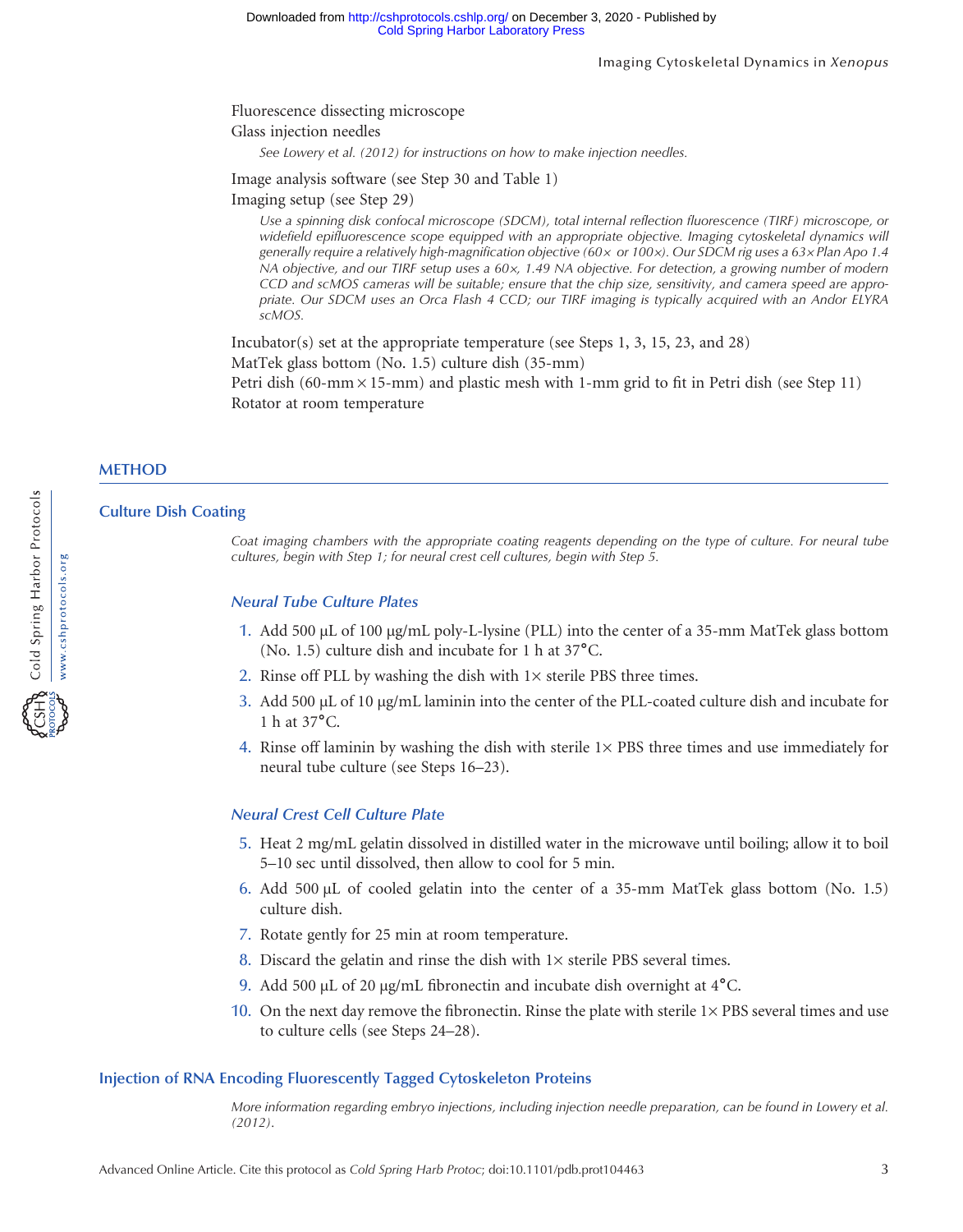#### Fluorescence dissecting microscope

## Glass injection needles

See Lowery et al. (2012) for instructions on how to make injection needles.

Image analysis software (see Step 30 and Table 1)

#### Imaging setup (see Step 29)

Use a spinning disk confocal microscope (SDCM), total internal reflection fluorescence (TIRF) microscope, or widefield epifluorescence scope equipped with an appropriate objective. Imaging cytoskeletal dynamics will generally require a relatively high-magnification objective (60<sup>×</sup> or 100×). Our SDCM rig uses a 63<sup>×</sup> Plan Apo 1.4 NA objective, and our TIRF setup uses a 60×, 1.49 NA objective. For detection, a growing number of modern CCD and scMOS cameras will be suitable; ensure that the chip size, sensitivity, and camera speed are appropriate. Our SDCM uses an Orca Flash 4 CCD; our TIRF imaging is typically acquired with an Andor ELYRA scMOS.

Incubator(s) set at the appropriate temperature (see Steps 1, 3, 15, 23, and 28)

MatTek glass bottom (No. 1.5) culture dish (35-mm)

Petri dish (60-mm  $\times$  15-mm) and plastic mesh with 1-mm grid to fit in Petri dish (see Step 11) Rotator at room temperature

## **METHOD**

## Culture Dish Coating

Coat imaging chambers with the appropriate coating reagents depending on the type of culture. For neural tube cultures, begin with Step 1; for neural crest cell cultures, begin with Step 5.

## Neural Tube Culture Plates

- 1. Add 500 µL of 100 µg/mL poly-L-lysine (PLL) into the center of a 35-mm MatTek glass bottom (No. 1.5) culture dish and incubate for 1 h at  $37^{\circ}$ C.
- 2. Rinse off PLL by washing the dish with  $1\times$  sterile PBS three times.
- 3. Add 500 µL of 10 µg/mL laminin into the center of the PLL-coated culture dish and incubate for 1 h at  $37^{\circ}$ C.
- 4. Rinse off laminin by washing the dish with sterile  $1 \times PBS$  three times and use immediately for neural tube culture (see Steps 16–23).

## Neural Crest Cell Culture Plate

- 5. Heat 2 mg/mL gelatin dissolved in distilled water in the microwave until boiling; allow it to boil 5–10 sec until dissolved, then allow to cool for 5 min.
- 6. Add 500  $\mu$ L of cooled gelatin into the center of a 35-mm MatTek glass bottom (No. 1.5) culture dish.
- 7. Rotate gently for 25 min at room temperature.
- 8. Discard the gelatin and rinse the dish with  $1\times$  sterile PBS several times.
- 9. Add 500  $\mu$ L of 20  $\mu$ g/mL fibronectin and incubate dish overnight at 4<sup>°</sup>C.
- 10. On the next day remove the fibronectin. Rinse the plate with sterile  $1\times$  PBS several times and use to culture cells (see Steps 24–28).

#### Injection of RNA Encoding Fluorescently Tagged Cytoskeleton Proteins

More information regarding embryo injections, including injection needle preparation, can be found in Lowery et al. (2012).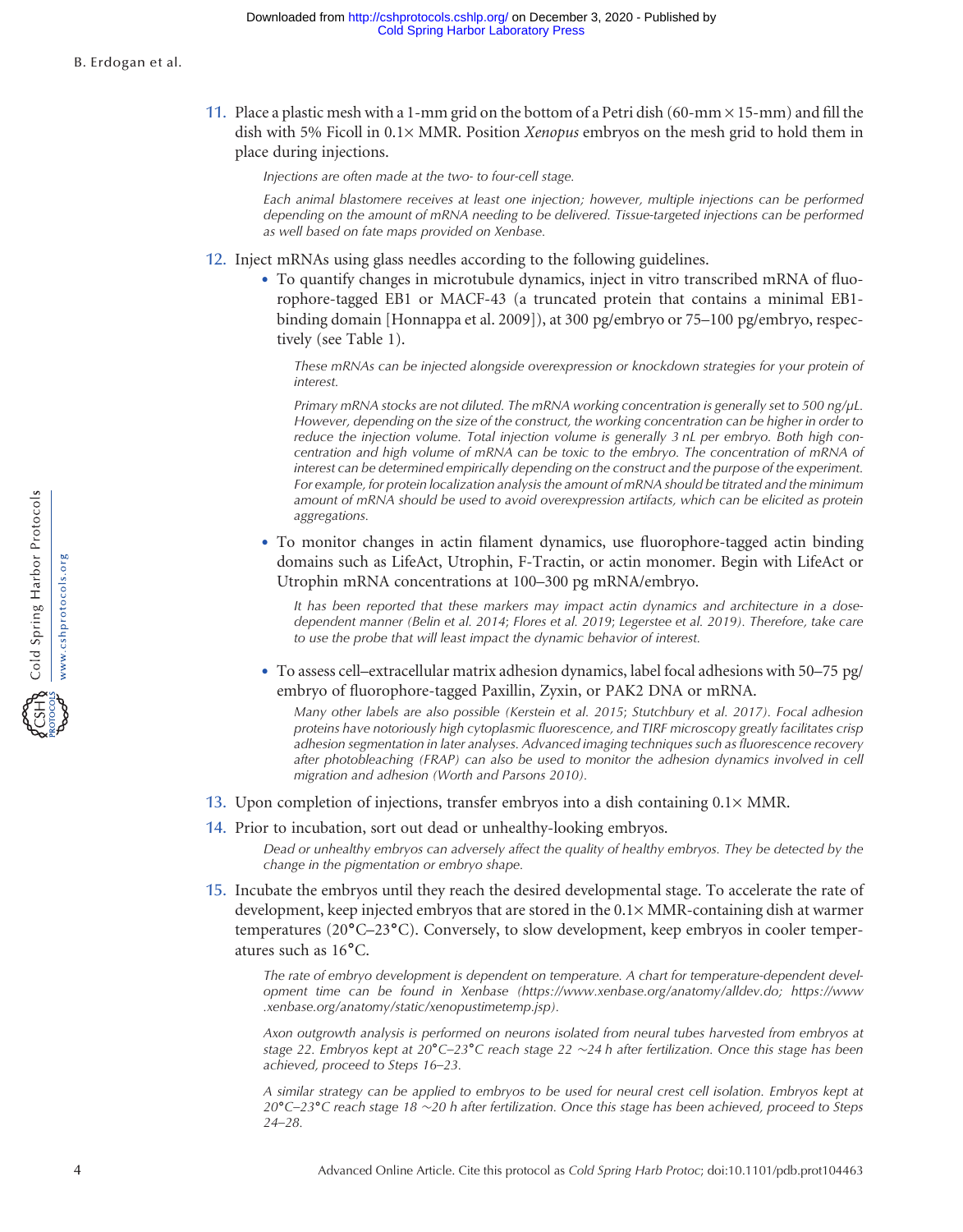11. Place a plastic mesh with a 1-mm grid on the bottom of a Petri dish  $(60- $mm \times 15-mm$ )$  and fill the dish with 5% Ficoll in 0.1× MMR. Position Xenopus embryos on the mesh grid to hold them in place during injections.

Injections are often made at the two- to four-cell stage.

Each animal blastomere receives at least one injection; however, multiple injections can be performed depending on the amount of mRNA needing to be delivered. Tissue-targeted injections can be performed as well based on fate maps provided on Xenbase.

- 12. Inject mRNAs using glass needles according to the following guidelines.
	- To quantify changes in microtubule dynamics, inject in vitro transcribed mRNA of fluorophore-tagged EB1 or MACF-43 (a truncated protein that contains a minimal EB1 binding domain [Honnappa et al. 2009]), at 300 pg/embryo or 75–100 pg/embryo, respectively (see Table 1).

These mRNAs can be injected alongside overexpression or knockdown strategies for your protein of interest.

Primary mRNA stocks are not diluted. The mRNA working concentration is generally set to 500 ng/µL. However, depending on the size of the construct, the working concentration can be higher in order to reduce the injection volume. Total injection volume is generally 3 nL per embryo. Both high concentration and high volume of mRNA can be toxic to the embryo. The concentration of mRNA of interest can be determined empirically depending on the construct and the purpose of the experiment. For example, for protein localization analysis the amount of mRNA should be titrated and the minimum amount of mRNA should be used to avoid overexpression artifacts, which can be elicited as protein aggregations.

• To monitor changes in actin filament dynamics, use fluorophore-tagged actin binding domains such as LifeAct, Utrophin, F-Tractin, or actin monomer. Begin with LifeAct or Utrophin mRNA concentrations at 100–300 pg mRNA/embryo.

It has been reported that these markers may impact actin dynamics and architecture in a dosedependent manner (Belin et al. 2014; Flores et al. 2019; Legerstee et al. 2019). Therefore, take care to use the probe that will least impact the dynamic behavior of interest.

• To assess cell–extracellular matrix adhesion dynamics, label focal adhesions with 50–75 pg/ embryo of fluorophore-tagged Paxillin, Zyxin, or PAK2 DNA or mRNA.

Many other labels are also possible (Kerstein et al. 2015; Stutchbury et al. 2017). Focal adhesion proteins have notoriously high cytoplasmic fluorescence, and TIRF microscopy greatly facilitates crisp adhesion segmentation in later analyses. Advanced imaging techniques such as fluorescence recovery after photobleaching (FRAP) can also be used to monitor the adhesion dynamics involved in cell migration and adhesion (Worth and Parsons 2010).

- 13. Upon completion of injections, transfer embryos into a dish containing  $0.1 \times$  MMR.
- 14. Prior to incubation, sort out dead or unhealthy-looking embryos.

Dead or unhealthy embryos can adversely affect the quality of healthy embryos. They be detected by the change in the pigmentation or embryo shape.

15. Incubate the embryos until they reach the desired developmental stage. To accelerate the rate of development, keep injected embryos that are stored in the 0.1× MMR-containing dish at warmer temperatures (20˚C–23˚C). Conversely, to slow development, keep embryos in cooler temperatures such as 16˚C.

The rate of embryo development is dependent on temperature. A chart for temperature-dependent development time can be found in Xenbase (<https://www.xenbase.org/anatomy/alldev.do>; [https://www](https://www.xenbase.org/anatomy/static/xenopustimetemp.jsp) [.xenbase.org/anatomy/static/xenopustimetemp.jsp](https://www.xenbase.org/anatomy/static/xenopustimetemp.jsp)).

Axon outgrowth analysis is performed on neurons isolated from neural tubes harvested from embryos at stage 22. Embryos kept at  $20^{\circ}$ C–23°C reach stage 22  $\sim$ 24 h after fertilization. Once this stage has been achieved, proceed to Steps 16–23.

A similar strategy can be applied to embryos to be used for neural crest cell isolation. Embryos kept at  $20^{\circ}$ C–23°C reach stage 18  $\sim$ 20 h after fertilization. Once this stage has been achieved, proceed to Steps 24–28.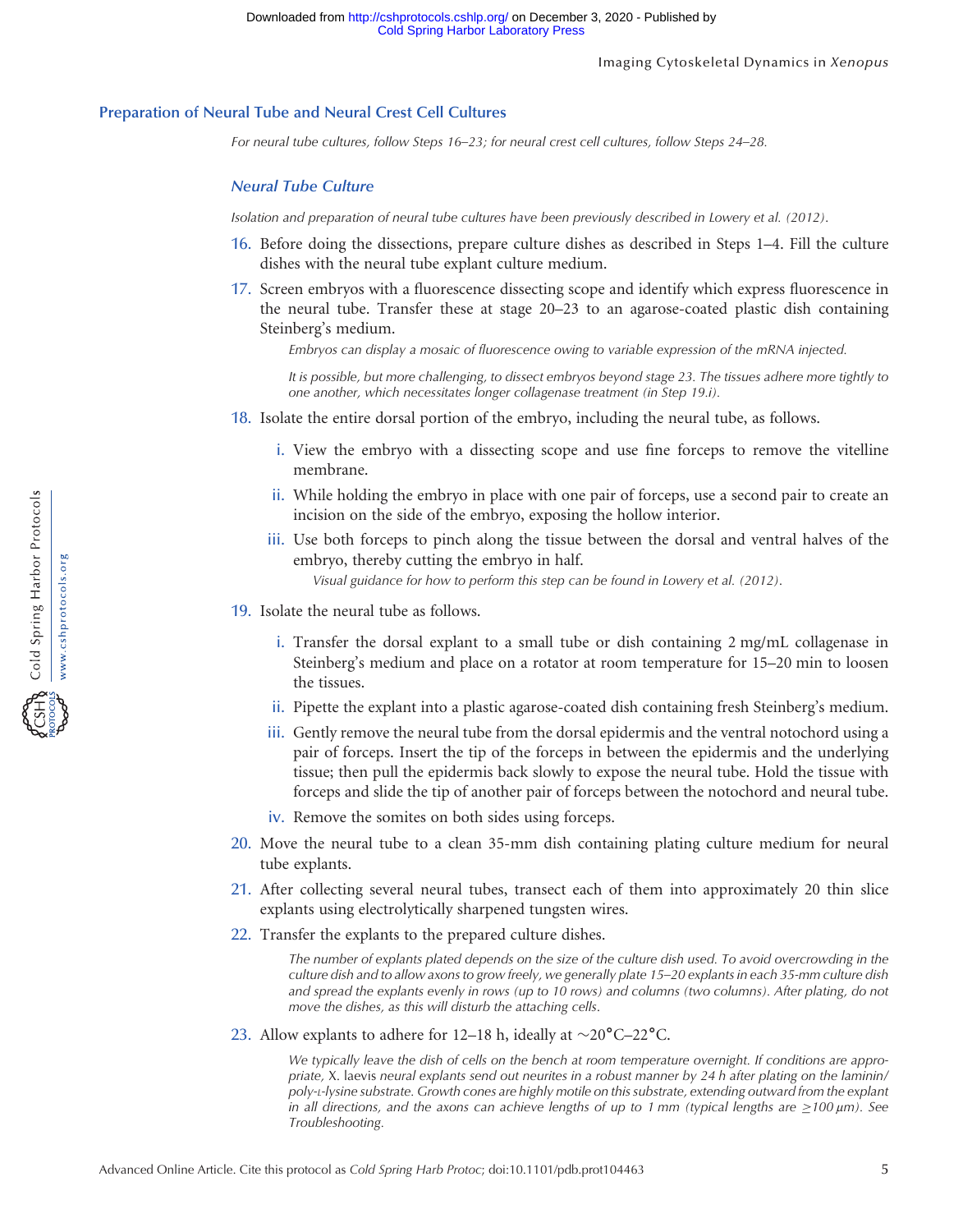## Preparation of Neural Tube and Neural Crest Cell Cultures

For neural tube cultures, follow Steps 16–23; for neural crest cell cultures, follow Steps 24–28.

#### Neural Tube Culture

Isolation and preparation of neural tube cultures have been previously described in Lowery et al. (2012).

- 16. Before doing the dissections, prepare culture dishes as described in Steps 1–4. Fill the culture dishes with the neural tube explant culture medium.
- 17. Screen embryos with a fluorescence dissecting scope and identify which express fluorescence in the neural tube. Transfer these at stage 20–23 to an agarose-coated plastic dish containing Steinberg's medium.

Embryos can display a mosaic of fluorescence owing to variable expression of the mRNA injected.

It is possible, but more challenging, to dissect embryos beyond stage 23. The tissues adhere more tightly to one another, which necessitates longer collagenase treatment (in Step 19.i).

- 18. Isolate the entire dorsal portion of the embryo, including the neural tube, as follows.
	- i. View the embryo with a dissecting scope and use fine forceps to remove the vitelline membrane.
	- ii. While holding the embryo in place with one pair of forceps, use a second pair to create an incision on the side of the embryo, exposing the hollow interior.
	- iii. Use both forceps to pinch along the tissue between the dorsal and ventral halves of the embryo, thereby cutting the embryo in half.

Visual guidance for how to perform this step can be found in Lowery et al. (2012).

- 19. Isolate the neural tube as follows.
	- i. Transfer the dorsal explant to a small tube or dish containing 2 mg/mL collagenase in Steinberg's medium and place on a rotator at room temperature for 15–20 min to loosen the tissues.
	- ii. Pipette the explant into a plastic agarose-coated dish containing fresh Steinberg's medium.
	- iii. Gently remove the neural tube from the dorsal epidermis and the ventral notochord using a pair of forceps. Insert the tip of the forceps in between the epidermis and the underlying tissue; then pull the epidermis back slowly to expose the neural tube. Hold the tissue with forceps and slide the tip of another pair of forceps between the notochord and neural tube.
	- iv. Remove the somites on both sides using forceps.
- 20. Move the neural tube to a clean 35-mm dish containing plating culture medium for neural tube explants.
- 21. After collecting several neural tubes, transect each of them into approximately 20 thin slice explants using electrolytically sharpened tungsten wires.
- 22. Transfer the explants to the prepared culture dishes.

The number of explants plated depends on the size of the culture dish used. To avoid overcrowding in the culture dish and to allow axons to grow freely, we generally plate 15–20 explants in each 35-mm culture dish and spread the explants evenly in rows (up to 10 rows) and columns (two columns). After plating, do not move the dishes, as this will disturb the attaching cells.

23. Allow explants to adhere for 12–18 h, ideally at  $\sim$ 20°C–22°C.

We typically leave the dish of cells on the bench at room temperature overnight. If conditions are appropriate, X. laevis neural explants send out neurites in a robust manner by 24 h after plating on the laminin/ poly-L-lysine substrate. Growth cones are highly motile on this substrate, extending outward from the explant in all directions, and the axons can achieve lengths of up to 1 mm (typical lengths are  $\geq 100 \,\mu m$ ). See Troubleshooting.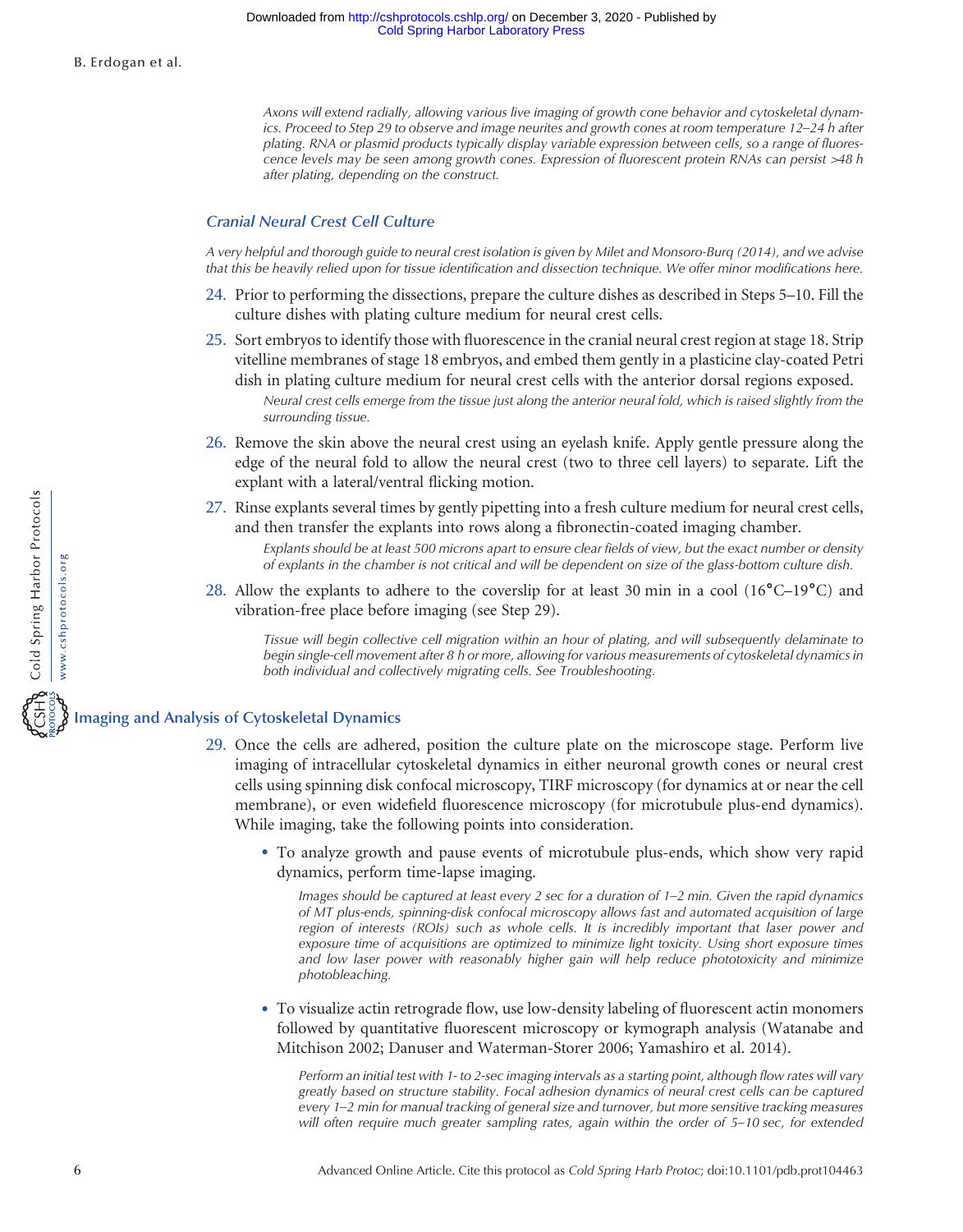Axons will extend radially, allowing various live imaging of growth cone behavior and cytoskeletal dynamics. Proceed to Step 29 to observe and image neurites and growth cones at room temperature 12–24 h after plating. RNA or plasmid products typically display variable expression between cells, so a range of fluorescence levels may be seen among growth cones. Expression of fluorescent protein RNAs can persist <sup>&</sup>gt;48 h after plating, depending on the construct.

## Cranial Neural Crest Cell Culture

A very helpful and thorough guide to neural crest isolation is given by Milet and Monsoro-Burq (2014), and we advise that this be heavily relied upon for tissue identification and dissection technique. We offer minor modifications here.

- 24. Prior to performing the dissections, prepare the culture dishes as described in Steps 5–10. Fill the culture dishes with plating culture medium for neural crest cells.
- 25. Sort embryos to identify those with fluorescence in the cranial neural crest region at stage 18. Strip vitelline membranes of stage 18 embryos, and embed them gently in a plasticine clay-coated Petri dish in plating culture medium for neural crest cells with the anterior dorsal regions exposed.

Neural crest cells emerge from the tissue just along the anterior neural fold, which is raised slightly from the surrounding tissue.

- 26. Remove the skin above the neural crest using an eyelash knife. Apply gentle pressure along the edge of the neural fold to allow the neural crest (two to three cell layers) to separate. Lift the explant with a lateral/ventral flicking motion.
- 27. Rinse explants several times by gently pipetting into a fresh culture medium for neural crest cells, and then transfer the explants into rows along a fibronectin-coated imaging chamber.

Explants should be at least 500 microns apart to ensure clear fields of view, but the exact number or density of explants in the chamber is not critical and will be dependent on size of the glass-bottom culture dish.

28. Allow the explants to adhere to the coverslip for at least 30 min in a cool  $(16^{\circ}C-19^{\circ}C)$  and vibration-free place before imaging (see Step 29).

Tissue will begin collective cell migration within an hour of plating, and will subsequently delaminate to begin single-cell movement after 8 h or more, allowing for various measurements of cytoskeletal dynamics in both individual and collectively migrating cells. See Troubleshooting.

## Imaging and Analysis of Cytoskeletal Dynamics

- 29. Once the cells are adhered, position the culture plate on the microscope stage. Perform live imaging of intracellular cytoskeletal dynamics in either neuronal growth cones or neural crest cells using spinning disk confocal microscopy, TIRF microscopy (for dynamics at or near the cell membrane), or even widefield fluorescence microscopy (for microtubule plus-end dynamics). While imaging, take the following points into consideration.
	- To analyze growth and pause events of microtubule plus-ends, which show very rapid dynamics, perform time-lapse imaging.

Images should be captured at least every 2 sec for a duration of 1–2 min. Given the rapid dynamics of MT plus-ends, spinning-disk confocal microscopy allows fast and automated acquisition of large region of interests (ROIs) such as whole cells. It is incredibly important that laser power and exposure time of acquisitions are optimized to minimize light toxicity. Using short exposure times and low laser power with reasonably higher gain will help reduce phototoxicity and minimize photobleaching.

• To visualize actin retrograde flow, use low-density labeling of fluorescent actin monomers followed by quantitative fluorescent microscopy or kymograph analysis (Watanabe and Mitchison 2002; Danuser and Waterman-Storer 2006; Yamashiro et al. 2014).

Perform an initial test with 1- to 2-sec imaging intervals as a starting point, although flow rates will vary greatly based on structure stability. Focal adhesion dynamics of neural crest cells can be captured every 1–2 min for manual tracking of general size and turnover, but more sensitive tracking measures will often require much greater sampling rates, again within the order of 5–10 sec, for extended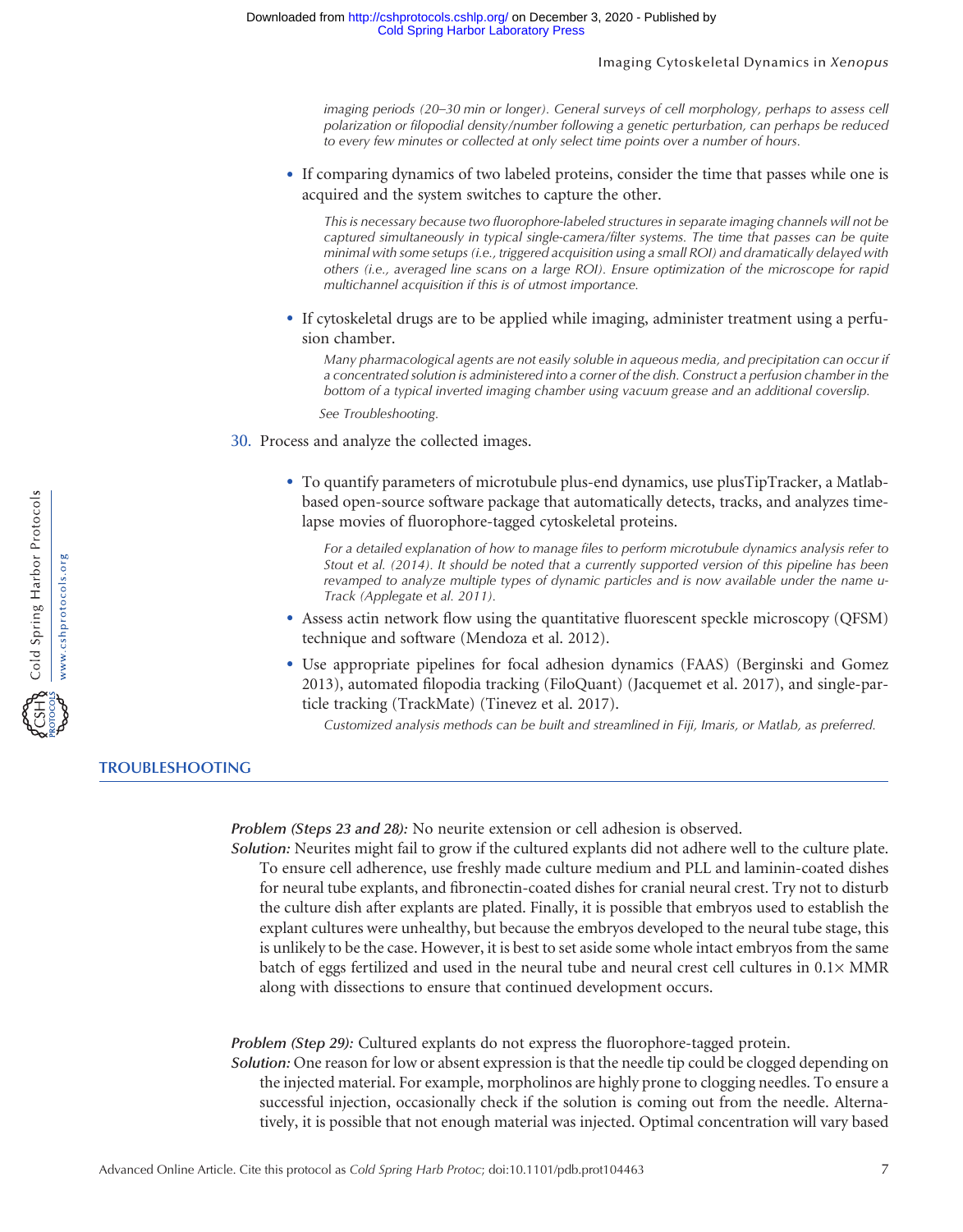imaging periods (20–30 min or longer). General surveys of cell morphology, perhaps to assess cell polarization or filopodial density/number following a genetic perturbation, can perhaps be reduced to every few minutes or collected at only select time points over a number of hours.

• If comparing dynamics of two labeled proteins, consider the time that passes while one is acquired and the system switches to capture the other.

This is necessary because two fluorophore-labeled structures in separate imaging channels will not be captured simultaneously in typical single-camera/filter systems. The time that passes can be quite minimal with some setups (i.e., triggered acquisition using a small ROI) and dramatically delayed with others (i.e., averaged line scans on a large ROI). Ensure optimization of the microscope for rapid multichannel acquisition if this is of utmost importance.

• If cytoskeletal drugs are to be applied while imaging, administer treatment using a perfusion chamber.

Many pharmacological agents are not easily soluble in aqueous media, and precipitation can occur if a concentrated solution is administered into a corner of the dish. Construct a perfusion chamber in the bottom of a typical inverted imaging chamber using vacuum grease and an additional coverslip.

See Troubleshooting.

- 30. Process and analyze the collected images.
	- To quantify parameters of microtubule plus-end dynamics, use plusTipTracker, a Matlabbased open-source software package that automatically detects, tracks, and analyzes timelapse movies of fluorophore-tagged cytoskeletal proteins.

For a detailed explanation of how to manage files to perform microtubule dynamics analysis refer to Stout et al. (2014). It should be noted that a currently supported version of this pipeline has been revamped to analyze multiple types of dynamic particles and is now available under the name u-Track (Applegate et al. 2011).

- Assess actin network flow using the quantitative fluorescent speckle microscopy (QFSM) technique and software (Mendoza et al. 2012).
- Use appropriate pipelines for focal adhesion dynamics (FAAS) (Berginski and Gomez 2013), automated filopodia tracking (FiloQuant) (Jacquemet et al. 2017), and single-particle tracking (TrackMate) (Tinevez et al. 2017).

Customized analysis methods can be built and streamlined in Fiji, Imaris, or Matlab, as preferred.

## TROUBLESHOOTING

Problem (Steps 23 and 28): No neurite extension or cell adhesion is observed.

Solution: Neurites might fail to grow if the cultured explants did not adhere well to the culture plate. To ensure cell adherence, use freshly made culture medium and PLL and laminin-coated dishes for neural tube explants, and fibronectin-coated dishes for cranial neural crest. Try not to disturb the culture dish after explants are plated. Finally, it is possible that embryos used to establish the explant cultures were unhealthy, but because the embryos developed to the neural tube stage, this is unlikely to be the case. However, it is best to set aside some whole intact embryos from the same batch of eggs fertilized and used in the neural tube and neural crest cell cultures in 0.1× MMR along with dissections to ensure that continued development occurs.

Problem (Step 29): Cultured explants do not express the fluorophore-tagged protein.

Solution: One reason for low or absent expression is that the needle tip could be clogged depending on the injected material. For example, morpholinos are highly prone to clogging needles. To ensure a successful injection, occasionally check if the solution is coming out from the needle. Alternatively, it is possible that not enough material was injected. Optimal concentration will vary based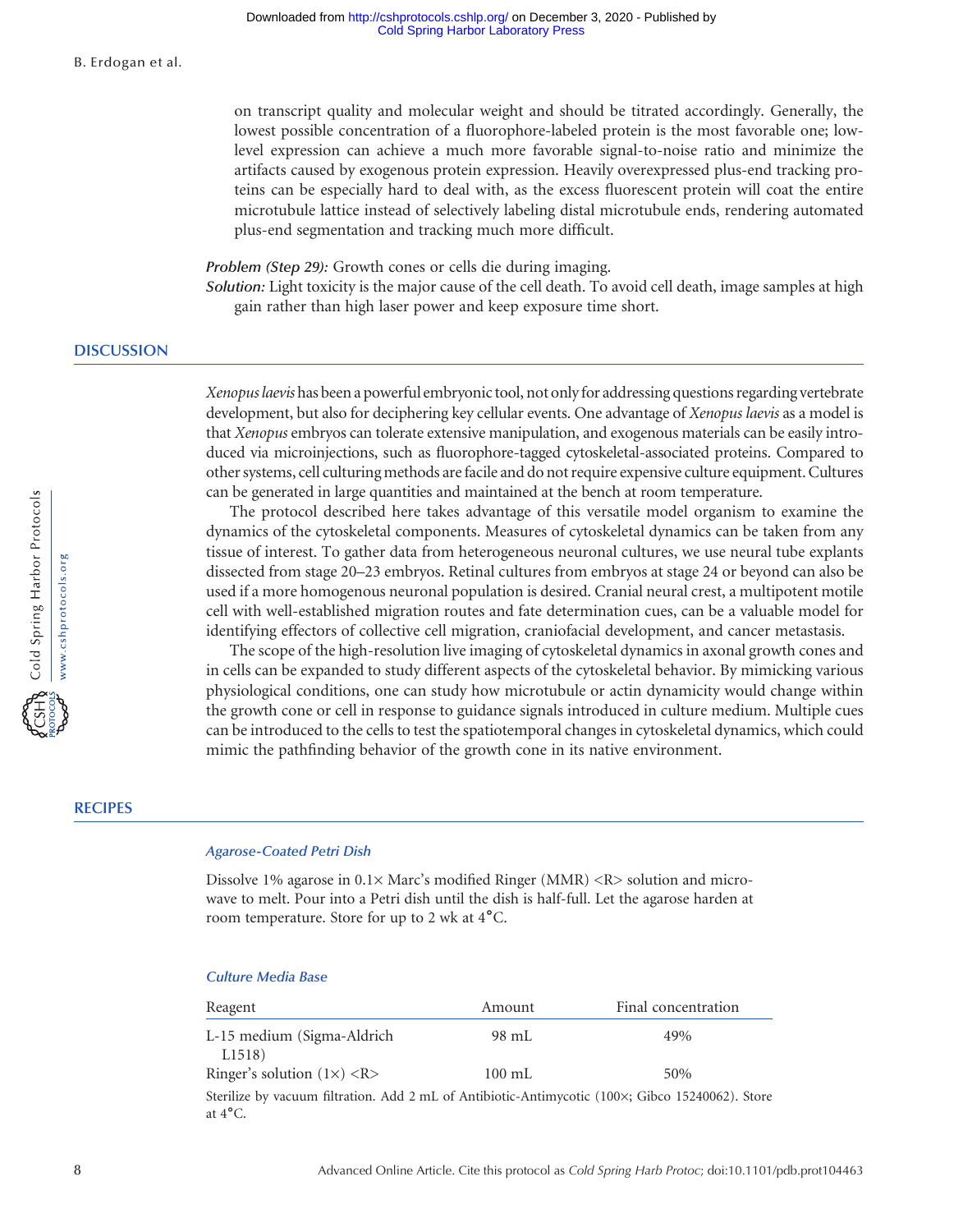#### B. Erdogan et al.

on transcript quality and molecular weight and should be titrated accordingly. Generally, the lowest possible concentration of a fluorophore-labeled protein is the most favorable one; lowlevel expression can achieve a much more favorable signal-to-noise ratio and minimize the artifacts caused by exogenous protein expression. Heavily overexpressed plus-end tracking proteins can be especially hard to deal with, as the excess fluorescent protein will coat the entire microtubule lattice instead of selectively labeling distal microtubule ends, rendering automated plus-end segmentation and tracking much more difficult.

Problem (Step 29): Growth cones or cells die during imaging.

Solution: Light toxicity is the major cause of the cell death. To avoid cell death, image samples at high gain rather than high laser power and keep exposure time short.

## **DISCUSSION**

Xenopus laevis has been a powerful embryonic tool, not onlyfor addressing questions regarding vertebrate development, but also for deciphering key cellular events. One advantage of Xenopus laevis as a model is that Xenopus embryos can tolerate extensive manipulation, and exogenous materials can be easily introduced via microinjections, such as fluorophore-tagged cytoskeletal-associated proteins. Compared to other systems, cell culturing methods arefacile and do not require expensive culture equipment. Cultures can be generated in large quantities and maintained at the bench at room temperature.

The protocol described here takes advantage of this versatile model organism to examine the dynamics of the cytoskeletal components. Measures of cytoskeletal dynamics can be taken from any tissue of interest. To gather data from heterogeneous neuronal cultures, we use neural tube explants dissected from stage 20–23 embryos. Retinal cultures from embryos at stage 24 or beyond can also be used if a more homogenous neuronal population is desired. Cranial neural crest, a multipotent motile cell with well-established migration routes and fate determination cues, can be a valuable model for identifying effectors of collective cell migration, craniofacial development, and cancer metastasis.

The scope of the high-resolution live imaging of cytoskeletal dynamics in axonal growth cones and in cells can be expanded to study different aspects of the cytoskeletal behavior. By mimicking various physiological conditions, one can study how microtubule or actin dynamicity would change within the growth cone or cell in response to guidance signals introduced in culture medium. Multiple cues can be introduced to the cells to test the spatiotemporal changes in cytoskeletal dynamics, which could mimic the pathfinding behavior of the growth cone in its native environment.

## **RECIPES**

#### Agarose-Coated Petri Dish

Dissolve 1% agarose in 0.1× Marc's modified Ringer (MMR) <R> solution and microwave to melt. Pour into a Petri dish until the dish is half-full. Let the agarose harden at room temperature. Store for up to 2 wk at 4˚C.

#### Culture Media Base

| Reagent                                | Amount           | Final concentration |
|----------------------------------------|------------------|---------------------|
| L-15 medium (Sigma-Aldrich             | $98 \text{ mL}$  | 49%                 |
| L1518                                  |                  |                     |
| Ringer's solution $(1 \times)$ <r></r> | $100 \text{ mL}$ | 50%                 |

Sterilize by vacuum filtration. Add 2 mL of Antibiotic-Antimycotic (100×; Gibco 15240062). Store at 4˚C.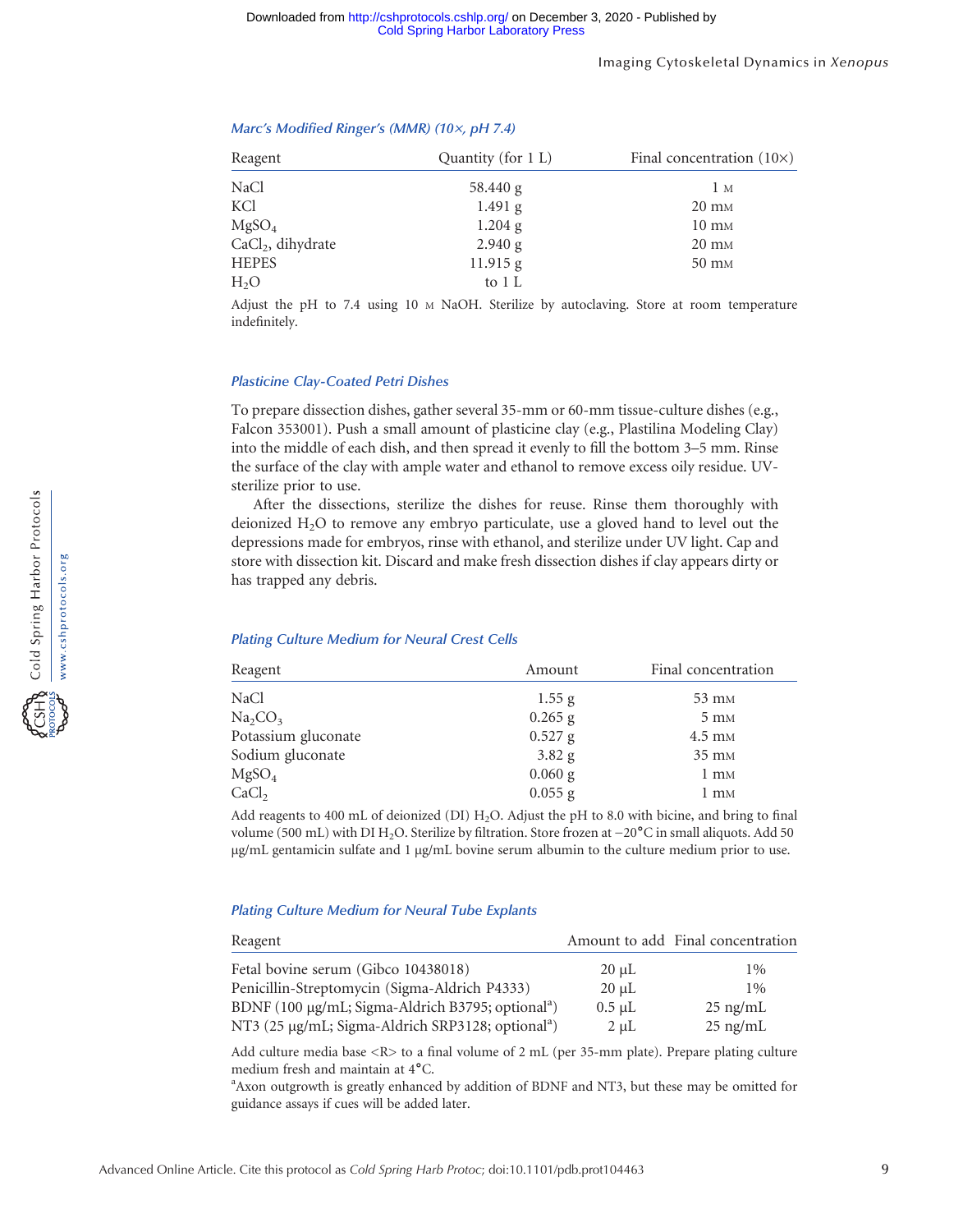Reagent Quantity (for 1 L) Final concentration (10×) NaCl  $58.440 \text{ g}$  1 M KCl  $1.491 \text{ g}$  20 mm  $MgSO_4$  1.204 g 10 mm  $CaCl<sub>2</sub>$ , dihydrate 2.940 g 20 mm<br>HEPES 11.915 g 50 mm HEPES  $11.915 \text{ g}$  50 mm  $H_2O$  to 1 L

## Marc's Modified Ringer's (MMR) (10×, pH 7.4)

Adjust the pH to 7.4 using 10 <sup>M</sup> NaOH. Sterilize by autoclaving. Store at room temperature indefinitely.

#### Plasticine Clay-Coated Petri Dishes

To prepare dissection dishes, gather several 35-mm or 60-mm tissue-culture dishes (e.g., Falcon 353001). Push a small amount of plasticine clay (e.g., Plastilina Modeling Clay) into the middle of each dish, and then spread it evenly to fill the bottom 3–5 mm. Rinse the surface of the clay with ample water and ethanol to remove excess oily residue. UVsterilize prior to use.

After the dissections, sterilize the dishes for reuse. Rinse them thoroughly with deionized  $H_2O$  to remove any embryo particulate, use a gloved hand to level out the depressions made for embryos, rinse with ethanol, and sterilize under UV light. Cap and store with dissection kit. Discard and make fresh dissection dishes if clay appears dirty or has trapped any debris.

#### Plating Culture Medium for Neural Crest Cells

| Reagent                                                                                                                                                                                                                                                                                                                                                                                                                                                                     | Amount    | Final concentration |
|-----------------------------------------------------------------------------------------------------------------------------------------------------------------------------------------------------------------------------------------------------------------------------------------------------------------------------------------------------------------------------------------------------------------------------------------------------------------------------|-----------|---------------------|
| NaCl                                                                                                                                                                                                                                                                                                                                                                                                                                                                        | 1.55 g    | 53 m <sub>M</sub>   |
| $Na_2CO_3$                                                                                                                                                                                                                                                                                                                                                                                                                                                                  | $0.265$ g | $5 \text{ mM}$      |
| Potassium gluconate                                                                                                                                                                                                                                                                                                                                                                                                                                                         | $0.527$ g | $4.5 \text{ mm}$    |
| Sodium gluconate                                                                                                                                                                                                                                                                                                                                                                                                                                                            | $3.82$ g  | $35 \text{ mm}$     |
| MgSO <sub>4</sub>                                                                                                                                                                                                                                                                                                                                                                                                                                                           | $0.060$ g | $1 \text{ mM}$      |
| CaCl <sub>2</sub>                                                                                                                                                                                                                                                                                                                                                                                                                                                           | $0.055$ g | 1 mm                |
| Add reagents to 400 mL of deionized (DI) $H_2O$ . Adjust the pH to 8.0 with bicine, and bring to fina<br>volume (500 mL) with DI H <sub>2</sub> O. Sterilize by filtration. Store frozen at $-20^{\circ}$ C in small aliquots. Add 50<br>$\mathcal{L}$ , and the contract of the contract of the contract of the contract of the contract of the contract of the contract of the contract of the contract of the contract of the contract of the contract of the contract o |           |                     |

Add reagents to 400 mL of deionized (DI)  $H<sub>2</sub>O$ . Adjust the pH to 8.0 with bicine, and bring to final  $\mu$ g/mL gentamicin sulfate and 1  $\mu$ g/mL bovine serum albumin to the culture medium prior to use.

#### Plating Culture Medium for Neural Tube Explants

| Reagent                                                       |             | Amount to add Final concentration |
|---------------------------------------------------------------|-------------|-----------------------------------|
| Fetal bovine serum (Gibco 10438018)                           | $20 \mu L$  | $1\%$                             |
| Penicillin-Streptomycin (Sigma-Aldrich P4333)                 | $20 \mu L$  | $1\%$                             |
| BDNF (100 µg/mL; Sigma-Aldrich B3795; optional <sup>a</sup> ) | $0.5 \mu L$ | $25 \text{ ng/mL}$                |
| NT3 (25 µg/mL; Sigma-Aldrich SRP3128; optional <sup>a</sup> ) | $2 \mu L$   | $25$ ng/mL                        |

Add culture media base  $\langle R \rangle$  to a final volume of 2 mL (per 35-mm plate). Prepare plating culture medium fresh and maintain at 4°C.

<sup>a</sup> Axon outgrowth is greatly enhanced by addition of BDNF and NT3, but these may be omitted for guidance assays if cues will be added later.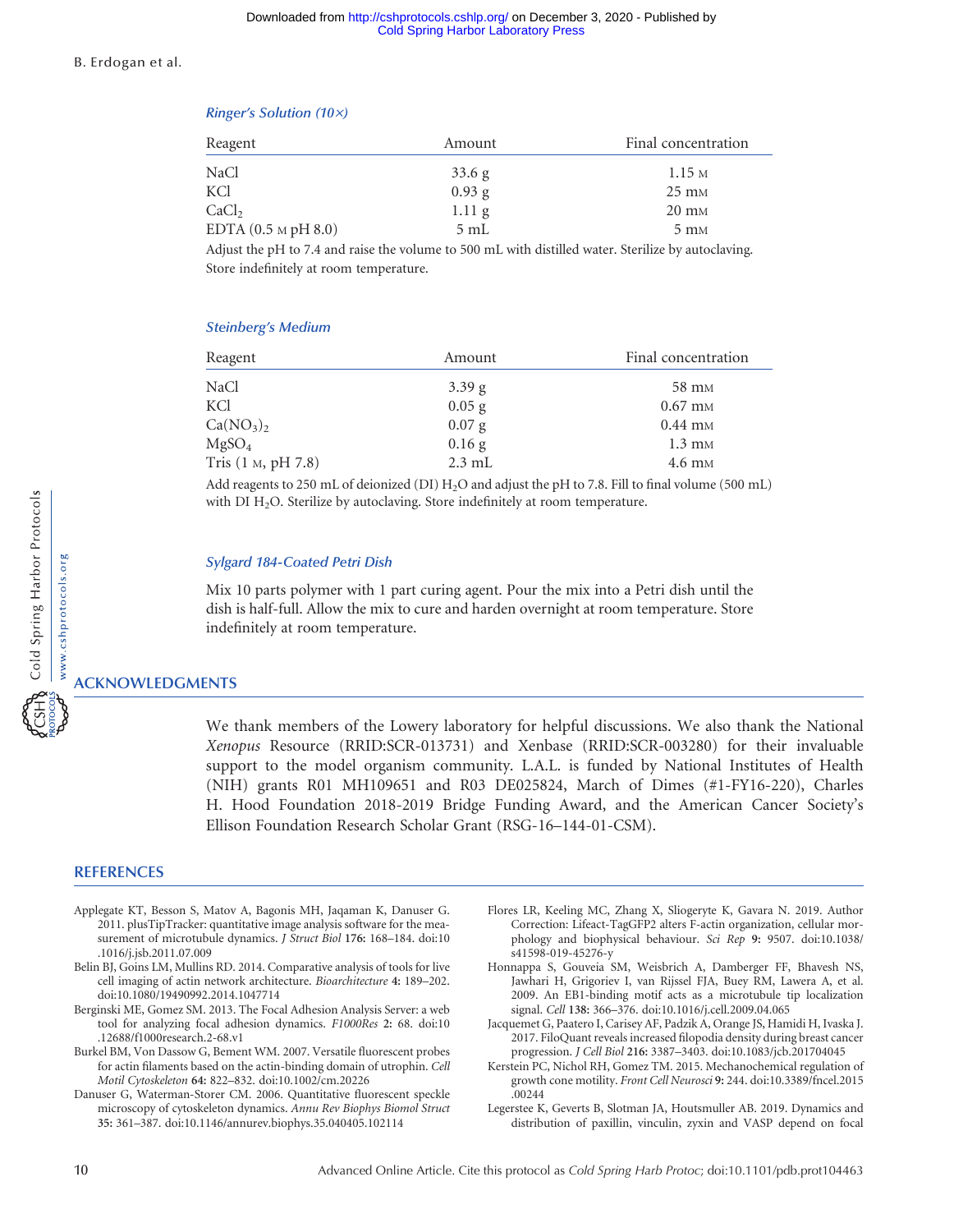#### B. Erdogan et al.

| Reagent                           | Amount          | Final concentration |
|-----------------------------------|-----------------|---------------------|
| NaCl                              | 33.6 g          | 1.15 <sub>M</sub>   |
| KCl                               | $0.93$ g        | $25 \text{ mm}$     |
| CaCl <sub>2</sub>                 | $1.11\text{ g}$ | $20 \text{ mm}$     |
| EDTA $(0.5 \text{ m }$ pH $(8.0)$ | 5mL             | $5 \text{ mM}$      |

#### Ringer's Solution (10×)

Adjust the pH to 7.4 and raise the volume to 500 mL with distilled water. Sterilize by autoclaving. Store indefinitely at room temperature.

#### Steinberg's Medium

| Reagent                           | Amount   | Final concentration   |  |  |
|-----------------------------------|----------|-----------------------|--|--|
| NaCl                              | 3.39 g   | 58 m <sub>M</sub>     |  |  |
| KCl                               | $0.05$ g | $0.67$ m <sub>M</sub> |  |  |
| Ca(NO <sub>3</sub> ) <sub>2</sub> | $0.07$ g | $0.44$ m <sub>M</sub> |  |  |
| MgSO <sub>4</sub>                 | $0.16$ g | $1.3 \text{ mm}$      |  |  |
| Tris (1 м, pH 7.8)                | $2.3$ mL | $4.6 \text{ mm}$      |  |  |

Add reagents to 250 mL of deionized (DI)  $H_2O$  and adjust the pH to 7.8. Fill to final volume (500 mL) with DI  $H_2O$ . Sterilize by autoclaving. Store indefinitely at room temperature.

#### Sylgard 184-Coated Petri Dish

Mix 10 parts polymer with 1 part curing agent. Pour the mix into a Petri dish until the dish is half-full. Allow the mix to cure and harden overnight at room temperature. Store indefinitely at room temperature.

## ACKNOWLEDGMENTS

We thank members of the Lowery laboratory for helpful discussions. We also thank the National Xenopus Resource (RRID:SCR-013731) and Xenbase (RRID:SCR-003280) for their invaluable support to the model organism community. L.A.L. is funded by National Institutes of Health (NIH) grants R01 MH109651 and R03 DE025824, March of Dimes (#1-FY16-220), Charles H. Hood Foundation 2018-2019 Bridge Funding Award, and the American Cancer Society's Ellison Foundation Research Scholar Grant (RSG-16–144-01-CSM).

#### REFERENCES

- Applegate KT, Besson S, Matov A, Bagonis MH, Jaqaman K, Danuser G. 2011. plusTipTracker: quantitative image analysis software for the measurement of microtubule dynamics. J Struct Biol 176: 168–184. doi:10 .1016/j.jsb.2011.07.009
- Belin BJ, Goins LM, Mullins RD. 2014. Comparative analysis of tools for live cell imaging of actin network architecture. Bioarchitecture 4: 189–202. doi:10.1080/19490992.2014.1047714
- Berginski ME, Gomez SM. 2013. The Focal Adhesion Analysis Server: a web tool for analyzing focal adhesion dynamics. F1000Res 2: 68. doi:10 .12688/f1000research.2-68.v1
- Burkel BM, Von Dassow G, Bement WM. 2007. Versatile fluorescent probes for actin filaments based on the actin-binding domain of utrophin. Cell Motil Cytoskeleton 64: 822–832. doi:10.1002/cm.20226
- Danuser G, Waterman-Storer CM. 2006. Quantitative fluorescent speckle microscopy of cytoskeleton dynamics. Annu Rev Biophys Biomol Struct 35: 361–387. doi:10.1146/annurev.biophys.35.040405.102114
- Flores LR, Keeling MC, Zhang X, Sliogeryte K, Gavara N. 2019. Author Correction: Lifeact-TagGFP2 alters F-actin organization, cellular morphology and biophysical behaviour. Sci Rep 9: 9507. doi:10.1038/ s41598-019-45276-y
- Honnappa S, Gouveia SM, Weisbrich A, Damberger FF, Bhavesh NS, Jawhari H, Grigoriev I, van Rijssel FJA, Buey RM, Lawera A, et al. 2009. An EB1-binding motif acts as a microtubule tip localization signal. Cell 138: 366–376. doi:10.1016/j.cell.2009.04.065
- Jacquemet G, Paatero I, Carisey AF, Padzik A, Orange JS, Hamidi H, Ivaska J. 2017. FiloQuant reveals increased filopodia density during breast cancer progression. J Cell Biol 216: 3387–3403. doi:10.1083/jcb.201704045
- Kerstein PC, Nichol RH, Gomez TM. 2015. Mechanochemical regulation of growth cone motility. Front Cell Neurosci 9: 244. doi:10.3389/fncel.2015 .00244
- Legerstee K, Geverts B, Slotman JA, Houtsmuller AB. 2019. Dynamics and distribution of paxillin, vinculin, zyxin and VASP depend on focal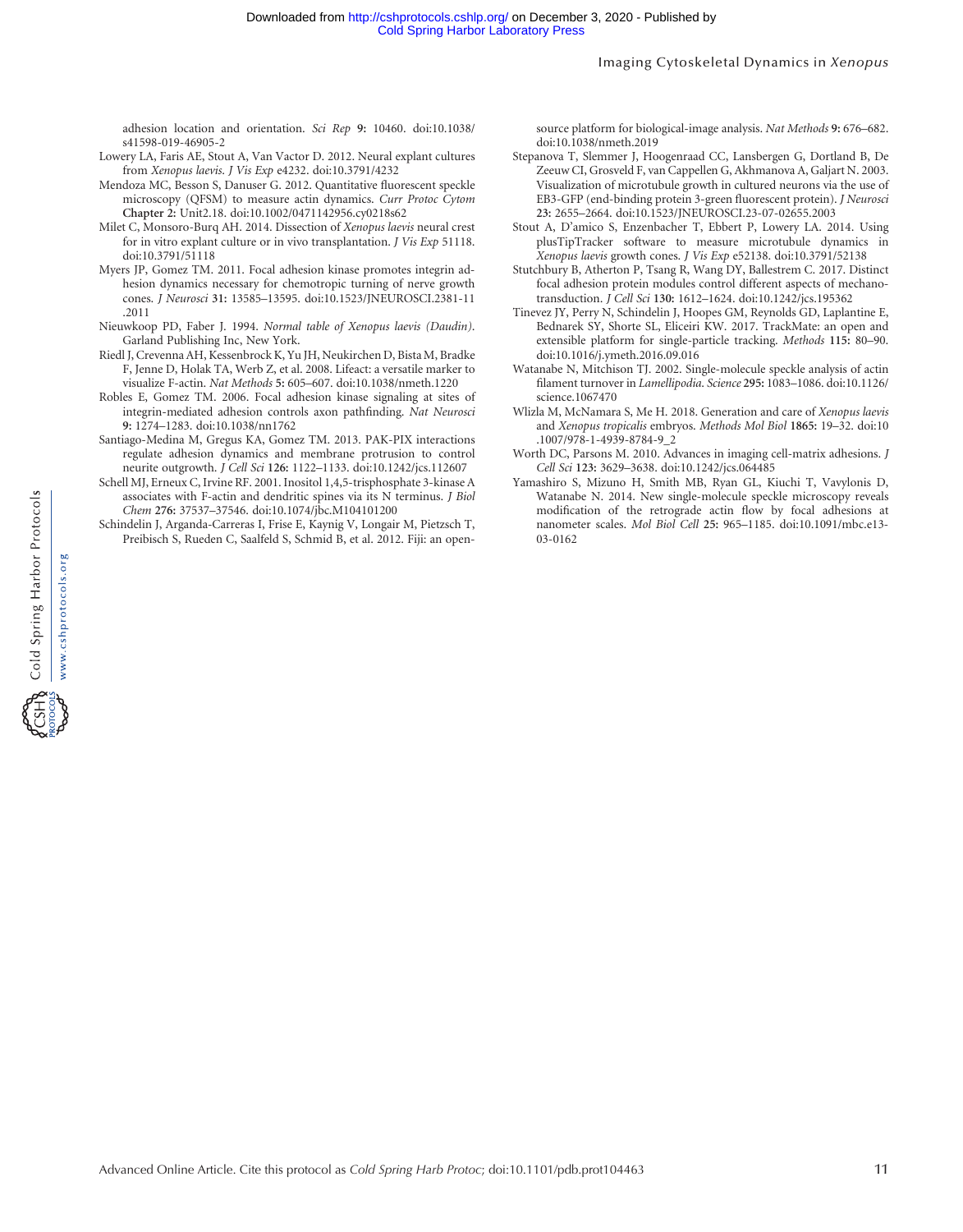adhesion location and orientation. Sci Rep 9: 10460. doi:10.1038/ s41598-019-46905-2

- Lowery LA, Faris AE, Stout A, Van Vactor D. 2012. Neural explant cultures from Xenopus laevis. J Vis Exp e4232. doi:10.3791/4232
- Mendoza MC, Besson S, Danuser G. 2012. Quantitative fluorescent speckle microscopy (QFSM) to measure actin dynamics. Curr Protoc Cytom Chapter 2: Unit2.18. doi:10.1002/0471142956.cy0218s62
- Milet C, Monsoro-Burq AH. 2014. Dissection of Xenopus laevis neural crest for in vitro explant culture or in vivo transplantation. J Vis Exp 51118. doi:10.3791/51118
- Myers JP, Gomez TM. 2011. Focal adhesion kinase promotes integrin adhesion dynamics necessary for chemotropic turning of nerve growth cones. J Neurosci 31: 13585–13595. doi:10.1523/JNEUROSCI.2381-11 .2011
- Nieuwkoop PD, Faber J. 1994. Normal table of Xenopus laevis (Daudin). Garland Publishing Inc, New York.
- Riedl J, Crevenna AH, Kessenbrock K, Yu JH, Neukirchen D, Bista M, Bradke F, Jenne D, Holak TA, Werb Z, et al. 2008. Lifeact: a versatile marker to visualize F-actin. Nat Methods 5: 605–607. doi:10.1038/nmeth.1220
- Robles E, Gomez TM. 2006. Focal adhesion kinase signaling at sites of integrin-mediated adhesion controls axon pathfinding. Nat Neurosci 9: 1274–1283. doi:10.1038/nn1762
- Santiago-Medina M, Gregus KA, Gomez TM. 2013. PAK-PIX interactions regulate adhesion dynamics and membrane protrusion to control neurite outgrowth. J Cell Sci 126: 1122–1133. doi:10.1242/jcs.112607
- Schell MJ, Erneux C, Irvine RF. 2001. Inositol 1,4,5-trisphosphate 3-kinase A associates with F-actin and dendritic spines via its N terminus. J Biol Chem 276: 37537–37546. doi:10.1074/jbc.M104101200
- Schindelin J, Arganda-Carreras I, Frise E, Kaynig V, Longair M, Pietzsch T, Preibisch S, Rueden C, Saalfeld S, Schmid B, et al. 2012. Fiji: an open-

source platform for biological-image analysis. Nat Methods 9: 676–682. doi:10.1038/nmeth.2019

- Stepanova T, Slemmer J, Hoogenraad CC, Lansbergen G, Dortland B, De Zeeuw CI, Grosveld F, van Cappellen G, Akhmanova A, Galjart N. 2003. Visualization of microtubule growth in cultured neurons via the use of EB3-GFP (end-binding protein 3-green fluorescent protein). J Neurosci 23: 2655–2664. doi:10.1523/JNEUROSCI.23-07-02655.2003
- Stout A, D'amico S, Enzenbacher T, Ebbert P, Lowery LA. 2014. Using plusTipTracker software to measure microtubule dynamics in Xenopus laevis growth cones. J Vis Exp e52138. doi:10.3791/52138
- Stutchbury B, Atherton P, Tsang R, Wang DY, Ballestrem C. 2017. Distinct focal adhesion protein modules control different aspects of mechanotransduction. J Cell Sci 130: 1612–1624. doi:10.1242/jcs.195362
- Tinevez JY, Perry N, Schindelin J, Hoopes GM, Reynolds GD, Laplantine E, Bednarek SY, Shorte SL, Eliceiri KW. 2017. TrackMate: an open and extensible platform for single-particle tracking. Methods 115: 80–90. doi:10.1016/j.ymeth.2016.09.016
- Watanabe N, Mitchison TJ. 2002. Single-molecule speckle analysis of actin filament turnover in Lamellipodia. Science 295: 1083–1086. doi:10.1126/ science.1067470
- Wlizla M, McNamara S, Me H. 2018. Generation and care of Xenopus laevis and Xenopus tropicalis embryos. Methods Mol Biol 1865: 19–32. doi:10 .1007/978-1-4939-8784-9\_2
- Worth DC, Parsons M. 2010. Advances in imaging cell-matrix adhesions. J Cell Sci 123: 3629–3638. doi:10.1242/jcs.064485
- Yamashiro S, Mizuno H, Smith MB, Ryan GL, Kiuchi T, Vavylonis D, Watanabe N. 2014. New single-molecule speckle microscopy reveals modification of the retrograde actin flow by focal adhesions at nanometer scales. Mol Biol Cell 25: 965–1185. doi:10.1091/mbc.e13- 03-0162